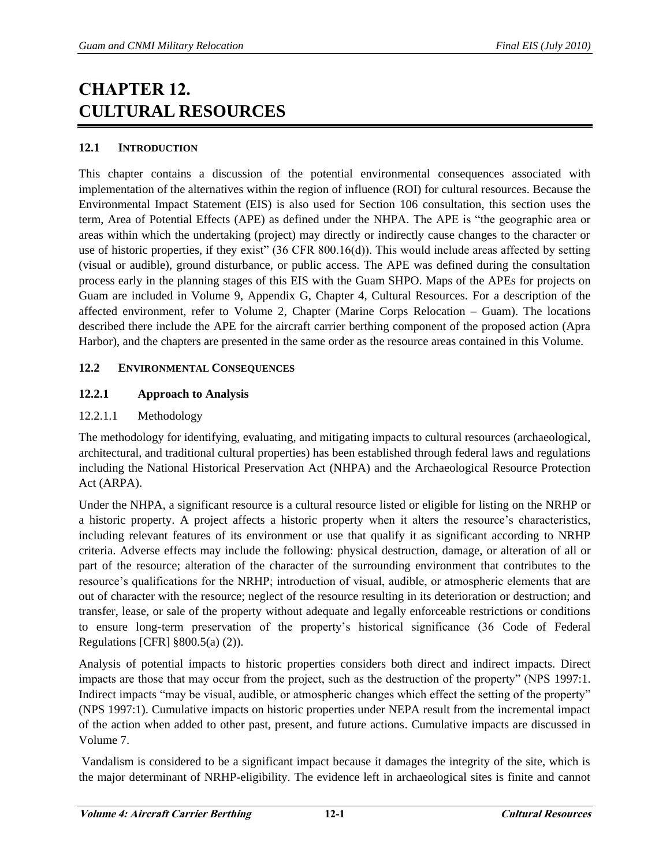# **CHAPTER 12. CULTURAL RESOURCES**

# **12.1 INTRODUCTION**

This chapter contains a discussion of the potential environmental consequences associated with implementation of the alternatives within the region of influence (ROI) for cultural resources. Because the Environmental Impact Statement (EIS) is also used for Section 106 consultation, this section uses the term, Area of Potential Effects (APE) as defined under the NHPA. The APE is "the geographic area or areas within which the undertaking (project) may directly or indirectly cause changes to the character or use of historic properties, if they exist"  $(36 \text{ CFR } 800.16(d))$ . This would include areas affected by setting (visual or audible), ground disturbance, or public access. The APE was defined during the consultation process early in the planning stages of this EIS with the Guam SHPO. Maps of the APEs for projects on Guam are included in Volume 9, Appendix G, Chapter 4, Cultural Resources. For a description of the affected environment, refer to Volume 2, Chapter (Marine Corps Relocation – Guam). The locations described there include the APE for the aircraft carrier berthing component of the proposed action (Apra Harbor), and the chapters are presented in the same order as the resource areas contained in this Volume.

# **12.2 ENVIRONMENTAL CONSEQUENCES**

# **12.2.1 Approach to Analysis**

# 12.2.1.1 Methodology

The methodology for identifying, evaluating, and mitigating impacts to cultural resources (archaeological, architectural, and traditional cultural properties) has been established through federal laws and regulations including the National Historical Preservation Act (NHPA) and the Archaeological Resource Protection Act (ARPA).

Under the NHPA, a significant resource is a cultural resource listed or eligible for listing on the NRHP or a historic property. A project affects a historic property when it alters the resource's characteristics, including relevant features of its environment or use that qualify it as significant according to NRHP criteria. Adverse effects may include the following: physical destruction, damage, or alteration of all or part of the resource; alteration of the character of the surrounding environment that contributes to the resource's qualifications for the NRHP; introduction of visual, audible, or atmospheric elements that are out of character with the resource; neglect of the resource resulting in its deterioration or destruction; and transfer, lease, or sale of the property without adequate and legally enforceable restrictions or conditions to ensure long-term preservation of the property's historical significance (36 Code of Federal Regulations [CFR] §800.5(a) (2)).

Analysis of potential impacts to historic properties considers both direct and indirect impacts. Direct impacts are those that may occur from the project, such as the destruction of the property" (NPS 1997:1. Indirect impacts "may be visual, audible, or atmospheric changes which effect the setting of the property" (NPS 1997:1). Cumulative impacts on historic properties under NEPA result from the incremental impact of the action when added to other past, present, and future actions. Cumulative impacts are discussed in Volume 7.

 Vandalism is considered to be a significant impact because it damages the integrity of the site, which is the major determinant of NRHP-eligibility. The evidence left in archaeological sites is finite and cannot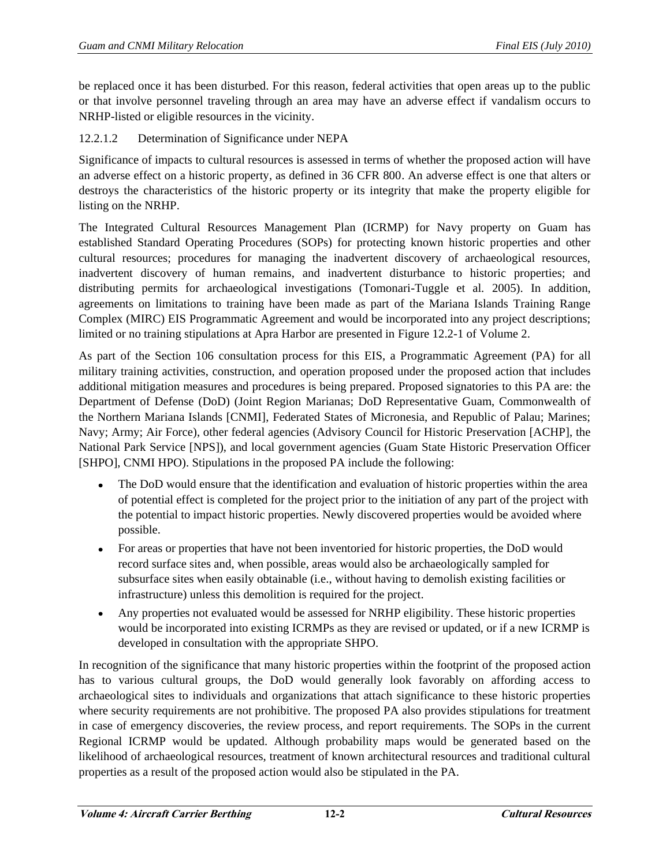be replaced once it has been disturbed. For this reason, federal activities that open areas up to the public or that involve personnel traveling through an area may have an adverse effect if vandalism occurs to NRHP-listed or eligible resources in the vicinity.

## 12.2.1.2 Determination of Significance under NEPA

Significance of impacts to cultural resources is assessed in terms of whether the proposed action will have an adverse effect on a historic property, as defined in 36 CFR 800. An adverse effect is one that alters or destroys the characteristics of the historic property or its integrity that make the property eligible for listing on the NRHP.

The Integrated Cultural Resources Management Plan (ICRMP) for Navy property on Guam has established Standard Operating Procedures (SOPs) for protecting known historic properties and other cultural resources; procedures for managing the inadvertent discovery of archaeological resources, inadvertent discovery of human remains, and inadvertent disturbance to historic properties; and distributing permits for archaeological investigations (Tomonari-Tuggle et al*.* 2005). In addition, agreements on limitations to training have been made as part of the Mariana Islands Training Range Complex (MIRC) EIS Programmatic Agreement and would be incorporated into any project descriptions; limited or no training stipulations at Apra Harbor are presented in Figure 12.2-1 of Volume 2.

As part of the Section 106 consultation process for this EIS, a Programmatic Agreement (PA) for all military training activities, construction, and operation proposed under the proposed action that includes additional mitigation measures and procedures is being prepared. Proposed signatories to this PA are: the Department of Defense (DoD) (Joint Region Marianas; DoD Representative Guam, Commonwealth of the Northern Mariana Islands [CNMI], Federated States of Micronesia, and Republic of Palau; Marines; Navy; Army; Air Force), other federal agencies (Advisory Council for Historic Preservation [ACHP], the National Park Service [NPS]), and local government agencies (Guam State Historic Preservation Officer [SHPO], CNMI HPO). Stipulations in the proposed PA include the following:

- The DoD would ensure that the identification and evaluation of historic properties within the area of potential effect is completed for the project prior to the initiation of any part of the project with the potential to impact historic properties. Newly discovered properties would be avoided where possible.
- For areas or properties that have not been inventoried for historic properties, the DoD would record surface sites and, when possible, areas would also be archaeologically sampled for subsurface sites when easily obtainable (i.e., without having to demolish existing facilities or infrastructure) unless this demolition is required for the project.
- Any properties not evaluated would be assessed for NRHP eligibility. These historic properties  $\bullet$ would be incorporated into existing ICRMPs as they are revised or updated, or if a new ICRMP is developed in consultation with the appropriate SHPO.

In recognition of the significance that many historic properties within the footprint of the proposed action has to various cultural groups, the DoD would generally look favorably on affording access to archaeological sites to individuals and organizations that attach significance to these historic properties where security requirements are not prohibitive. The proposed PA also provides stipulations for treatment in case of emergency discoveries, the review process, and report requirements. The SOPs in the current Regional ICRMP would be updated. Although probability maps would be generated based on the likelihood of archaeological resources, treatment of known architectural resources and traditional cultural properties as a result of the proposed action would also be stipulated in the PA.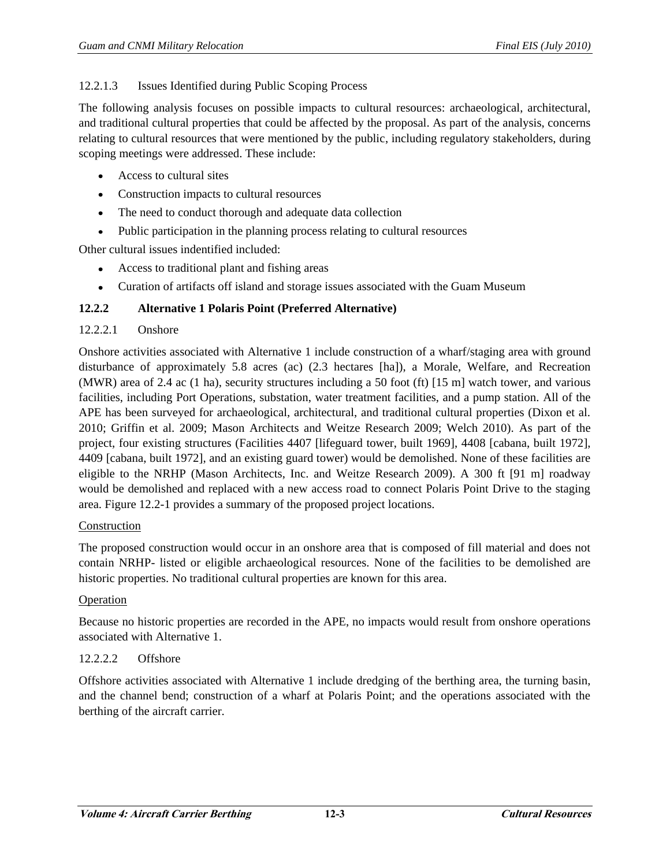## 12.2.1.3 Issues Identified during Public Scoping Process

The following analysis focuses on possible impacts to cultural resources: archaeological, architectural, and traditional cultural properties that could be affected by the proposal. As part of the analysis, concerns relating to cultural resources that were mentioned by the public, including regulatory stakeholders, during scoping meetings were addressed. These include:

- Access to cultural sites
- Construction impacts to cultural resources
- The need to conduct thorough and adequate data collection  $\bullet$
- Public participation in the planning process relating to cultural resources

Other cultural issues indentified included:

- Access to traditional plant and fishing areas
- Curation of artifacts off island and storage issues associated with the Guam Museum  $\bullet$

## **12.2.2 Alternative 1 Polaris Point (Preferred Alternative)**

## 12.2.2.1 Onshore

Onshore activities associated with Alternative 1 include construction of a wharf/staging area with ground disturbance of approximately 5.8 acres (ac) (2.3 hectares [ha]), a Morale, Welfare, and Recreation (MWR) area of 2.4 ac (1 ha), security structures including a 50 foot (ft) [15 m] watch tower, and various facilities, including Port Operations, substation, water treatment facilities, and a pump station. All of the APE has been surveyed for archaeological, architectural, and traditional cultural properties (Dixon et al. 2010; Griffin et al. 2009; Mason Architects and Weitze Research 2009; Welch 2010). As part of the project, four existing structures (Facilities 4407 [lifeguard tower, built 1969], 4408 [cabana, built 1972], 4409 [cabana, built 1972], and an existing guard tower) would be demolished. None of these facilities are eligible to the NRHP (Mason Architects, Inc. and Weitze Research 2009). A 300 ft [91 m] roadway would be demolished and replaced with a new access road to connect Polaris Point Drive to the staging area. Figure 12.2-1 provides a summary of the proposed project locations.

#### Construction

The proposed construction would occur in an onshore area that is composed of fill material and does not contain NRHP- listed or eligible archaeological resources. None of the facilities to be demolished are historic properties. No traditional cultural properties are known for this area.

## Operation

Because no historic properties are recorded in the APE, no impacts would result from onshore operations associated with Alternative 1.

## 12.2.2.2 Offshore

Offshore activities associated with Alternative 1 include dredging of the berthing area, the turning basin, and the channel bend; construction of a wharf at Polaris Point; and the operations associated with the berthing of the aircraft carrier.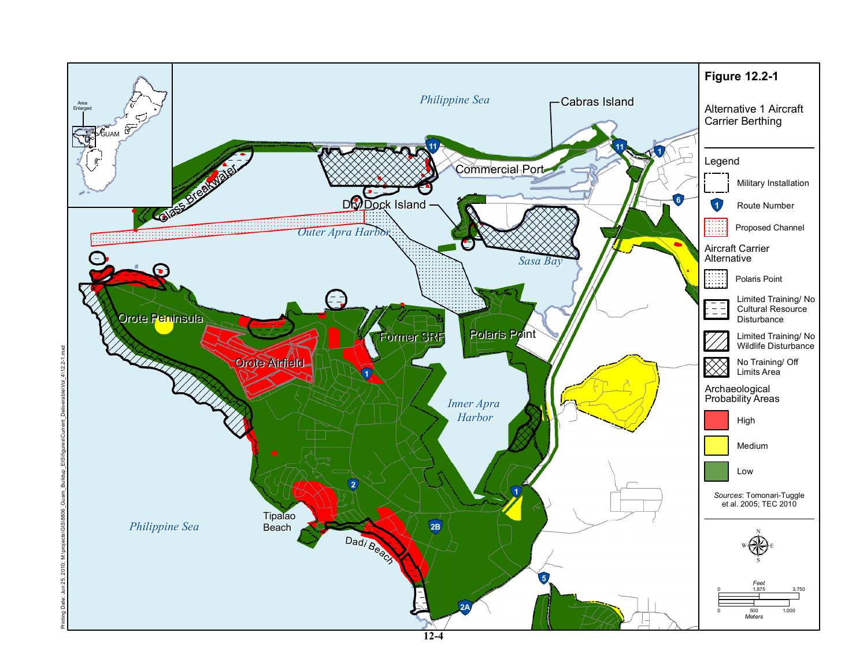

**12-4**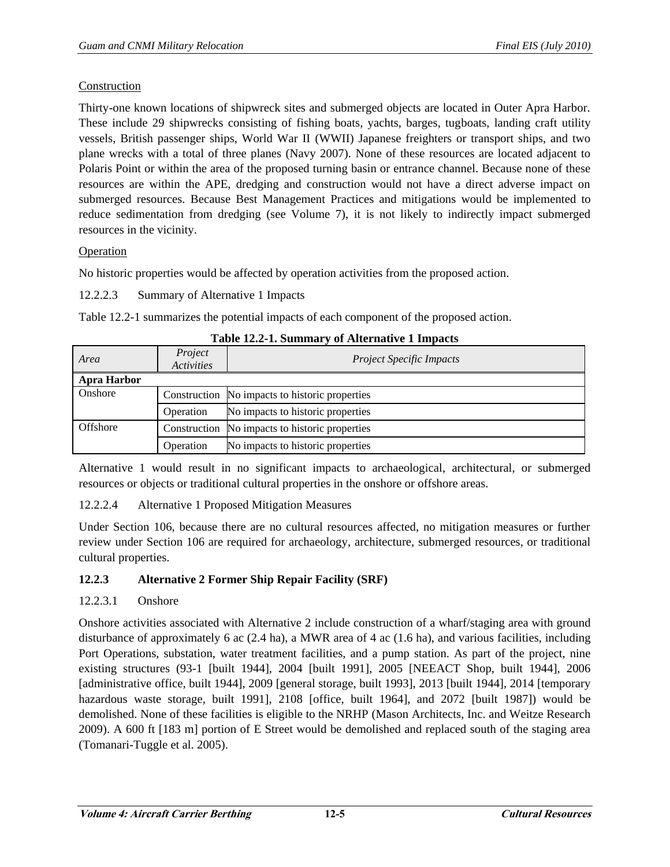## Construction

Thirty-one known locations of shipwreck sites and submerged objects are located in Outer Apra Harbor. These include 29 shipwrecks consisting of fishing boats, yachts, barges, tugboats, landing craft utility vessels, British passenger ships, World War II (WWII) Japanese freighters or transport ships, and two plane wrecks with a total of three planes (Navy 2007). None of these resources are located adjacent to Polaris Point or within the area of the proposed turning basin or entrance channel. Because none of these resources are within the APE, dredging and construction would not have a direct adverse impact on submerged resources. Because Best Management Practices and mitigations would be implemented to reduce sedimentation from dredging (see Volume 7), it is not likely to indirectly impact submerged resources in the vicinity.

## Operation

No historic properties would be affected by operation activities from the proposed action.

## 12.2.2.3 Summary of Alternative 1 Impacts

Table 12.2-1 summarizes the potential impacts of each component of the proposed action.

| Area               | Project<br><b>Activities</b> | <b>Project Specific Impacts</b>                |
|--------------------|------------------------------|------------------------------------------------|
| <b>Apra Harbor</b> |                              |                                                |
| Onshore            |                              | Construction No impacts to historic properties |
|                    | Operation                    | No impacts to historic properties              |
| Offshore           |                              | Construction No impacts to historic properties |
|                    | Operation                    | No impacts to historic properties              |

**Table 12.2-1. Summary of Alternative 1 Impacts** 

Alternative 1 would result in no significant impacts to archaeological, architectural, or submerged resources or objects or traditional cultural properties in the onshore or offshore areas.

## 12.2.2.4 Alternative 1 Proposed Mitigation Measures

Under Section 106, because there are no cultural resources affected, no mitigation measures or further review under Section 106 are required for archaeology, architecture, submerged resources, or traditional cultural properties.

# **12.2.3 Alternative 2 Former Ship Repair Facility (SRF)**

# 12.2.3.1 Onshore

Onshore activities associated with Alternative 2 include construction of a wharf/staging area with ground disturbance of approximately 6 ac (2.4 ha), a MWR area of 4 ac (1.6 ha), and various facilities, including Port Operations, substation, water treatment facilities, and a pump station. As part of the project, nine existing structures (93-1 [built 1944], 2004 [built 1991], 2005 [NEEACT Shop, built 1944], 2006 [administrative office, built 1944], 2009 [general storage, built 1993], 2013 [built 1944], 2014 [temporary hazardous waste storage, built 1991], 2108 [office, built 1964], and 2072 [built 1987]) would be demolished. None of these facilities is eligible to the NRHP (Mason Architects, Inc. and Weitze Research 2009). A 600 ft [183 m] portion of E Street would be demolished and replaced south of the staging area (Tomanari-Tuggle et al. 2005).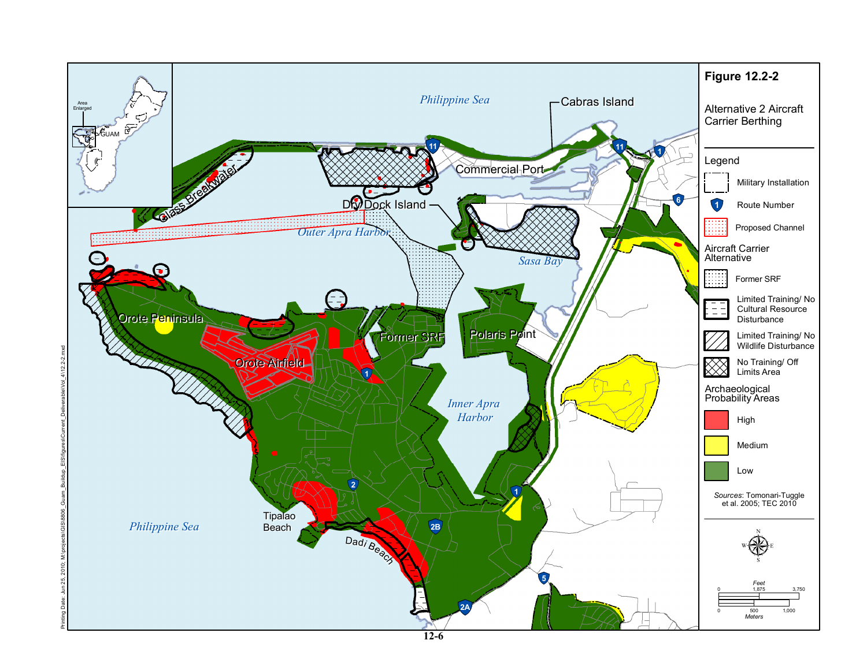

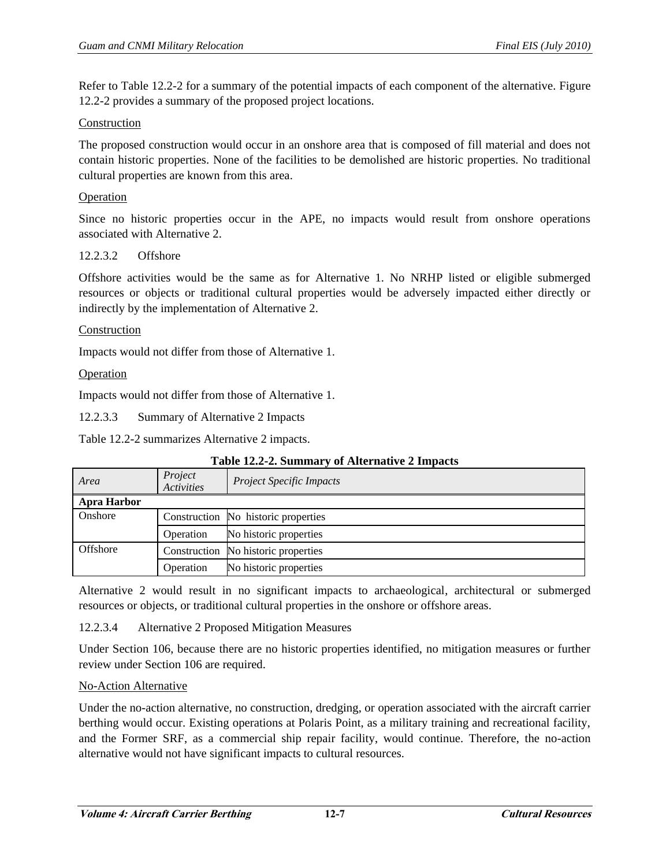Refer to Table 12.2-2 for a summary of the potential impacts of each component of the alternative. Figure 12.2-2 provides a summary of the proposed project locations.

## Construction

The proposed construction would occur in an onshore area that is composed of fill material and does not contain historic properties. None of the facilities to be demolished are historic properties. No traditional cultural properties are known from this area.

#### Operation

Since no historic properties occur in the APE, no impacts would result from onshore operations associated with Alternative 2.

#### 12.2.3.2 Offshore

Offshore activities would be the same as for Alternative 1. No NRHP listed or eligible submerged resources or objects or traditional cultural properties would be adversely impacted either directly or indirectly by the implementation of Alternative 2.

#### Construction

Impacts would not differ from those of Alternative 1.

#### **Operation**

Impacts would not differ from those of Alternative 1.

12.2.3.3 Summary of Alternative 2 Impacts

Table 12.2-2 summarizes Alternative 2 impacts.

| Area               | Project<br><b>Activities</b> | <b>Project Specific Impacts</b>     |  |  |
|--------------------|------------------------------|-------------------------------------|--|--|
| <b>Apra Harbor</b> |                              |                                     |  |  |
| Onshore            |                              | Construction No historic properties |  |  |
|                    | Operation                    | No historic properties              |  |  |
| Offshore           |                              | Construction No historic properties |  |  |
|                    | Operation                    | No historic properties              |  |  |

#### **Table 12.2-2. Summary of Alternative 2 Impacts**

Alternative 2 would result in no significant impacts to archaeological, architectural or submerged resources or objects, or traditional cultural properties in the onshore or offshore areas.

## 12.2.3.4 Alternative 2 Proposed Mitigation Measures

Under Section 106, because there are no historic properties identified, no mitigation measures or further review under Section 106 are required.

#### No-Action Alternative

Under the no-action alternative, no construction, dredging, or operation associated with the aircraft carrier berthing would occur. Existing operations at Polaris Point, as a military training and recreational facility, and the Former SRF, as a commercial ship repair facility, would continue. Therefore, the no-action alternative would not have significant impacts to cultural resources.